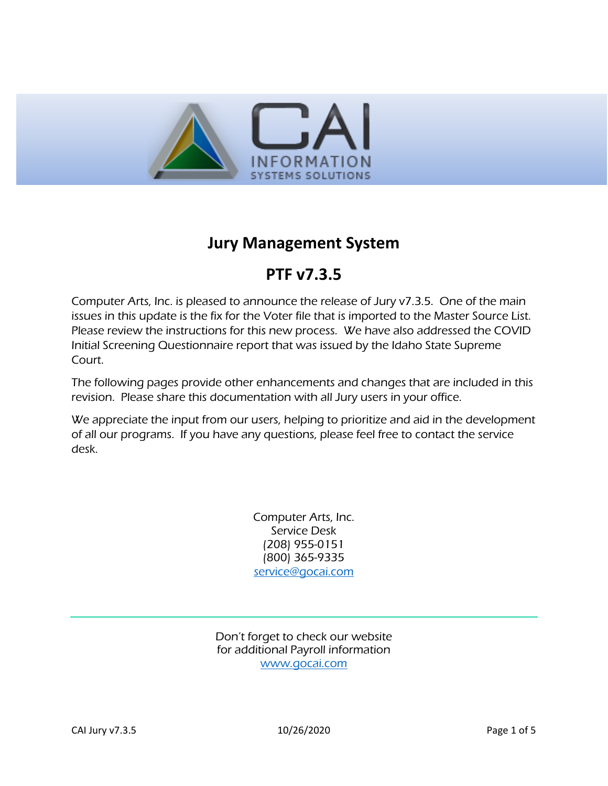

## **Jury Management System**

# **PTF v7.3.5**

Computer Arts, Inc. is pleased to announce the release of Jury v7.3.5. One of the main issues in this update is the fix for the Voter file that is imported to the Master Source List. Please review the instructions for this new process. We have also addressed the COVID Initial Screening Questionnaire report that was issued by the Idaho State Supreme Court.

The following pages provide other enhancements and changes that are included in this revision. Please share this documentation with all Jury users in your office.

We appreciate the input from our users, helping to prioritize and aid in the development of all our programs. If you have any questions, please feel free to contact the service desk.

> Computer Arts, Inc. Service Desk (208) 955-0151 (800) 365-9335 [service@gocai.com](mailto:service@gocai.com)

Don't forget to check our website for additional Payroll information [www.gocai.com](http://www.gocai.com/)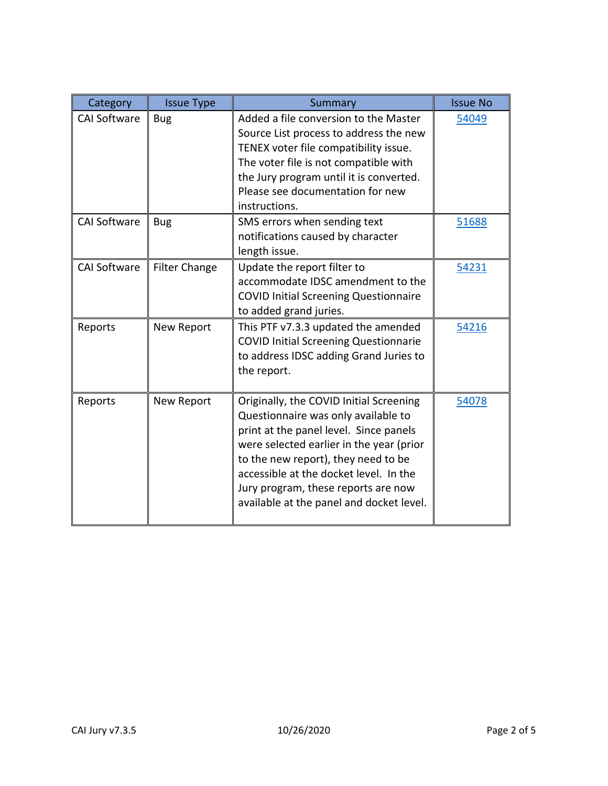| Category            | <b>Issue Type</b>    | Summary                                                                                                                                                                                                                                                                                                                                  | <b>Issue No</b> |
|---------------------|----------------------|------------------------------------------------------------------------------------------------------------------------------------------------------------------------------------------------------------------------------------------------------------------------------------------------------------------------------------------|-----------------|
| <b>CAI Software</b> | <b>Bug</b>           | Added a file conversion to the Master<br>Source List process to address the new<br>TENEX voter file compatibility issue.<br>The voter file is not compatible with<br>the Jury program until it is converted.<br>Please see documentation for new<br>instructions.                                                                        | 54049           |
| <b>CAI Software</b> | <b>Bug</b>           | SMS errors when sending text<br>notifications caused by character<br>length issue.                                                                                                                                                                                                                                                       | 51688           |
| <b>CAI Software</b> | <b>Filter Change</b> | Update the report filter to<br>accommodate IDSC amendment to the<br><b>COVID Initial Screening Questionnaire</b><br>to added grand juries.                                                                                                                                                                                               | 54231           |
| Reports             | New Report           | This PTF v7.3.3 updated the amended<br><b>COVID Initial Screening Questionnarie</b><br>to address IDSC adding Grand Juries to<br>the report.                                                                                                                                                                                             | 54216           |
| Reports             | New Report           | Originally, the COVID Initial Screening<br>Questionnaire was only available to<br>print at the panel level. Since panels<br>were selected earlier in the year (prior<br>to the new report), they need to be<br>accessible at the docket level. In the<br>Jury program, these reports are now<br>available at the panel and docket level. | 54078           |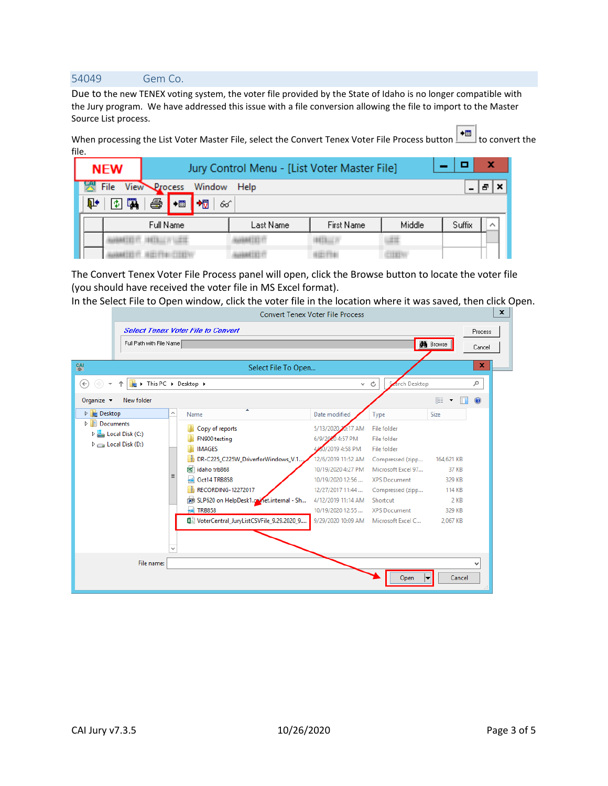#### <span id="page-2-0"></span>54049 Gem Co.

Due to the new TENEX voting system, the voter file provided by the State of Idaho is no longer compatible with the Jury program. We have addressed this issue with a file conversion allowing the file to import to the Master Source List process.

When processing the List Voter Master File, select the Convert Tenex Voter File Process button **+**■ to convert the file.

| <b>NEW</b>  | Jury Control Menu - [List Voter Master File] |           |                   |        |        |  |
|-------------|----------------------------------------------|-----------|-------------------|--------|--------|--|
| File        | View Process<br>Window Help                  |           |                   |        |        |  |
| 圍<br>ъ<br>倭 | 叠<br>栅<br>$+iii$                             | 66        |                   |        |        |  |
|             | Full Name                                    | Last Name | <b>First Name</b> | Middle | Suffix |  |
|             |                                              |           |                   |        |        |  |
|             |                                              |           |                   |        |        |  |

The Convert Tenex Voter File Process panel will open, click the Browse button to locate the voter file (you should have received the voter file in MS Excel format).

In the Select File to Open window, click the voter file in the location where it was saved, then click Open.

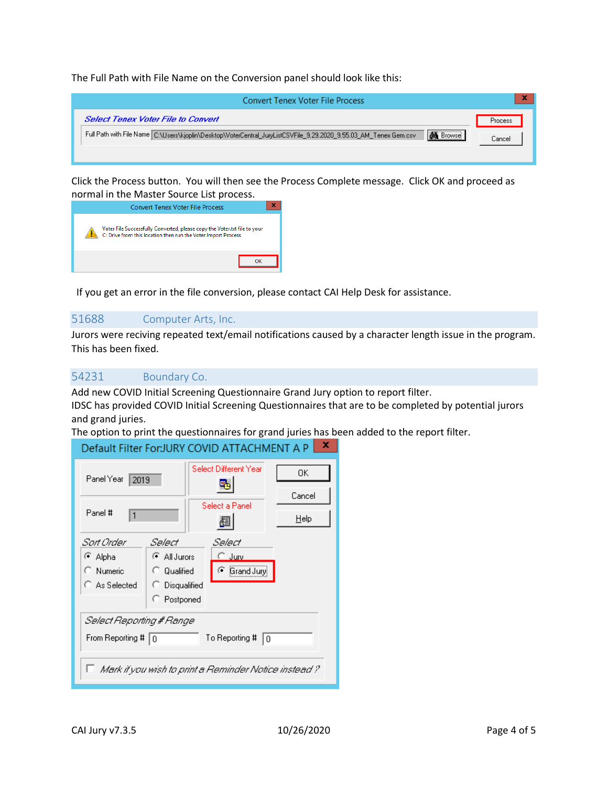The Full Path with File Name on the Conversion panel should look like this:

| Convert Tenex Voter File Process                                                                                                                                            | ×                 |
|-----------------------------------------------------------------------------------------------------------------------------------------------------------------------------|-------------------|
| Select Tenex Voter File to Convert<br><b>AG</b> Browse<br>Full Path with File Name C:\Users\kjoplin\Desktop\VoterCentral_JuryListCSVFile_9.29.2020_9.55.03_AM_Tenex Gem.csv | Process<br>Cancel |

Click the Process button. You will then see the Process Complete message. Click OK and proceed as normal in the Master Source List process.

| <b>Convert Tenex Voter File Process</b>                                                                                                    |  |
|--------------------------------------------------------------------------------------------------------------------------------------------|--|
| Voter File Successfully Converted, please copy the Voter.txt file to your<br>C: Drive from this location then run the Voter Import Process |  |
|                                                                                                                                            |  |

<span id="page-3-0"></span>If you get an error in the file conversion, please contact CAI Help Desk for assistance.

### 51688 Computer Arts, Inc.

Jurors were reciving repeated text/email notifications caused by a character length issue in the program. This has been fixed.

## <span id="page-3-1"></span>54231 Boundary Co.

Add new COVID Initial Screening Questionnaire Grand Jury option to report filter. IDSC has provided COVID Initial Screening Questionnaires that are to be completed by potential jurors and grand juries.

The option to print the questionnaires for grand juries has been added to the report filter.<br>
Default Filter For ILIBY COVID ATTACHMENT A BLAKE

| Panel Year<br>2019                                                                                                                               |                                                                        |  | Select Different Year                          | 0K.<br>Cancel |  |
|--------------------------------------------------------------------------------------------------------------------------------------------------|------------------------------------------------------------------------|--|------------------------------------------------|---------------|--|
| Panel #<br>1                                                                                                                                     |                                                                        |  | Select a Panel                                 | Help          |  |
| Sart Order<br>⊕ Alpha<br>C Numeric<br>C As Selected                                                                                              | Select<br>C All Jurors<br>C Qualified<br>C Disqualified<br>C Postponed |  | Select<br>C Jurv<br><b><i>C</i></b> Grand Jury |               |  |
| Select Reporting # Range<br>From Reporting # $\boxed{0}$<br>To Reporting #<br>10<br>$\Box$ Mark if you wish to print a Reminder Notice instead ? |                                                                        |  |                                                |               |  |